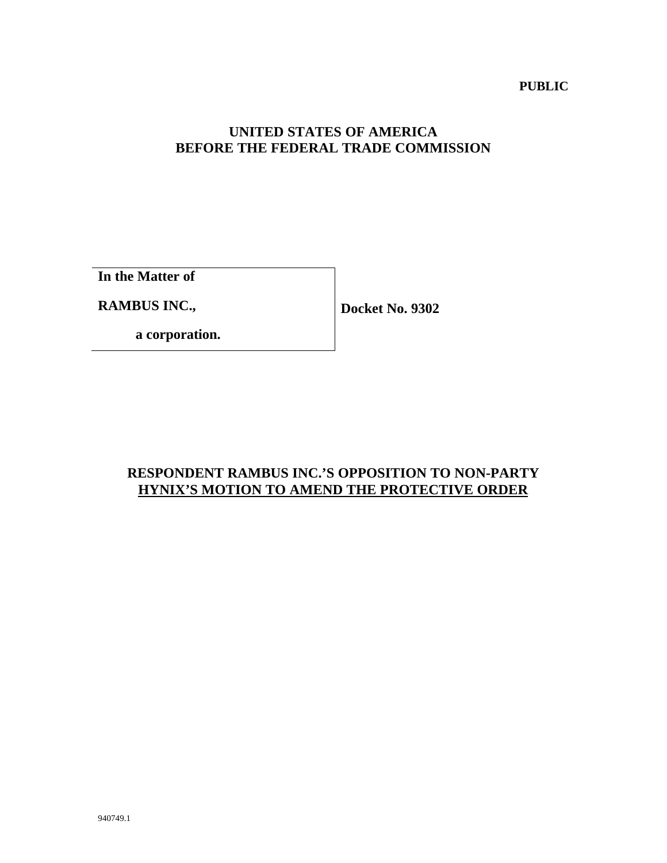#### **PUBLIC**

## **UNITED STATES OF AMERICA BEFORE THE FEDERAL TRADE COMMISSION**

**In the Matter of**

**RAMBUS INC.,**

**Docket No. 9302**

**a corporation.**

# **RESPONDENT RAMBUS INC.'S OPPOSITION TO NON-PARTY HYNIX'S MOTION TO AMEND THE PROTECTIVE ORDER**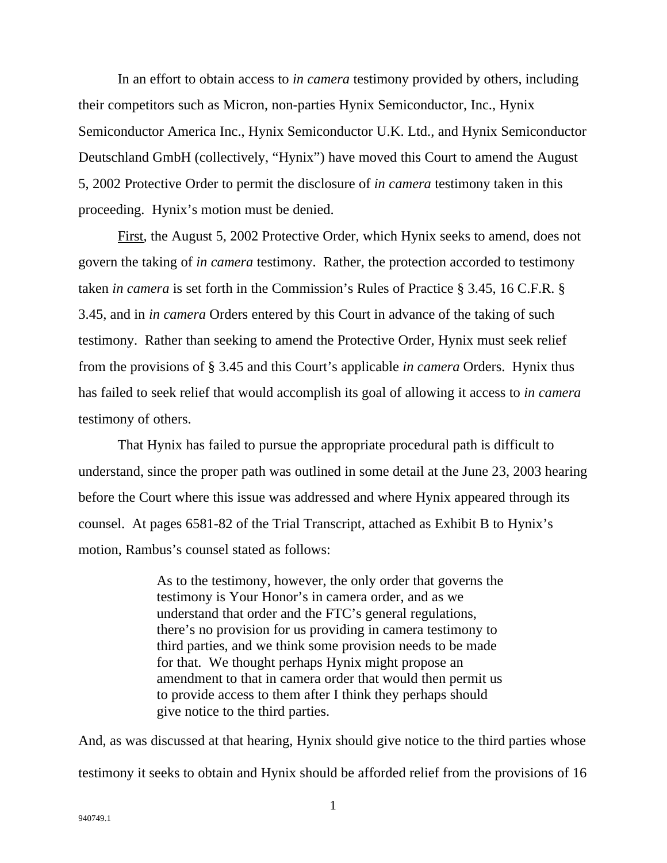In an effort to obtain access to *in camera* testimony provided by others, including their competitors such as Micron, non-parties Hynix Semiconductor, Inc., Hynix Semiconductor America Inc., Hynix Semiconductor U.K. Ltd., and Hynix Semiconductor Deutschland GmbH (collectively, "Hynix") have moved this Court to amend the August 5, 2002 Protective Order to permit the disclosure of *in camera* testimony taken in this proceeding. Hynix's motion must be denied.

First, the August 5, 2002 Protective Order, which Hynix seeks to amend, does not govern the taking of *in camera* testimony. Rather, the protection accorded to testimony taken *in camera* is set forth in the Commission's Rules of Practice § 3.45, 16 C.F.R. § 3.45, and in *in camera* Orders entered by this Court in advance of the taking of such testimony. Rather than seeking to amend the Protective Order, Hynix must seek relief from the provisions of § 3.45 and this Court's applicable *in camera* Orders. Hynix thus has failed to seek relief that would accomplish its goal of allowing it access to *in camera* testimony of others.

That Hynix has failed to pursue the appropriate procedural path is difficult to understand, since the proper path was outlined in some detail at the June 23, 2003 hearing before the Court where this issue was addressed and where Hynix appeared through its counsel. At pages 6581-82 of the Trial Transcript, attached as Exhibit B to Hynix's motion, Rambus's counsel stated as follows:

> As to the testimony, however, the only order that governs the testimony is Your Honor's in camera order, and as we understand that order and the FTC's general regulations, there's no provision for us providing in camera testimony to third parties, and we think some provision needs to be made for that. We thought perhaps Hynix might propose an amendment to that in camera order that would then permit us to provide access to them after I think they perhaps should give notice to the third parties.

And, as was discussed at that hearing, Hynix should give notice to the third parties whose testimony it seeks to obtain and Hynix should be afforded relief from the provisions of 16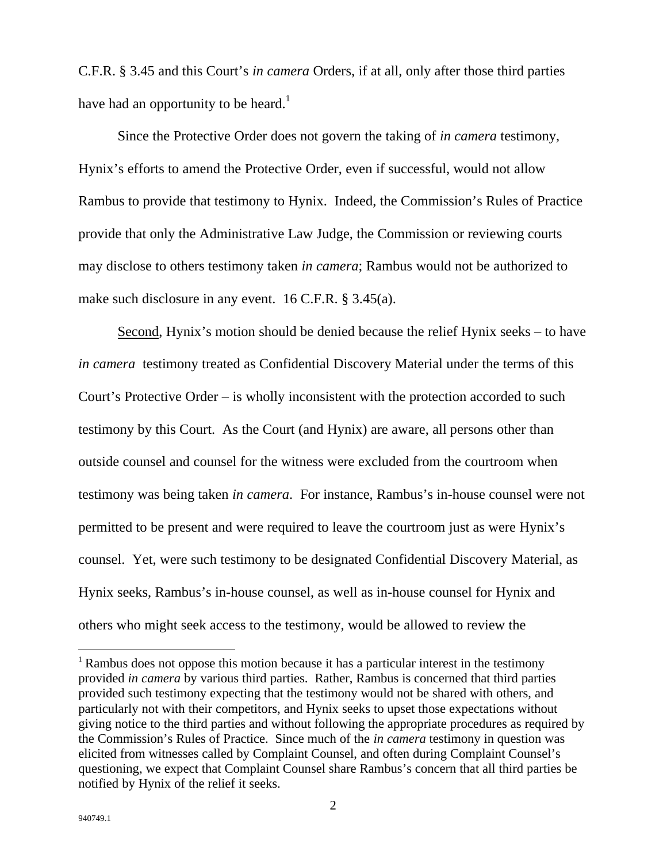C.F.R. § 3.45 and this Court's *in camera* Orders, if at all, only after those third parties have had an opportunity to be heard.<sup>1</sup>

Since the Protective Order does not govern the taking of *in camera* testimony, Hynix's efforts to amend the Protective Order, even if successful, would not allow Rambus to provide that testimony to Hynix. Indeed, the Commission's Rules of Practice provide that only the Administrative Law Judge, the Commission or reviewing courts may disclose to others testimony taken *in camera*; Rambus would not be authorized to make such disclosure in any event. 16 C.F.R. § 3.45(a).

Second, Hynix's motion should be denied because the relief Hynix seeks – to have *in camera* testimony treated as Confidential Discovery Material under the terms of this Court's Protective Order – is wholly inconsistent with the protection accorded to such testimony by this Court. As the Court (and Hynix) are aware, all persons other than outside counsel and counsel for the witness were excluded from the courtroom when testimony was being taken *in camera*. For instance, Rambus's in-house counsel were not permitted to be present and were required to leave the courtroom just as were Hynix's counsel. Yet, were such testimony to be designated Confidential Discovery Material, as Hynix seeks, Rambus's in-house counsel, as well as in-house counsel for Hynix and others who might seek access to the testimony, would be allowed to review the

 $\overline{a}$ 

<sup>1</sup> Rambus does not oppose this motion because it has a particular interest in the testimony provided *in camera* by various third parties. Rather, Rambus is concerned that third parties provided such testimony expecting that the testimony would not be shared with others, and particularly not with their competitors, and Hynix seeks to upset those expectations without giving notice to the third parties and without following the appropriate procedures as required by the Commission's Rules of Practice. Since much of the *in camera* testimony in question was elicited from witnesses called by Complaint Counsel, and often during Complaint Counsel's questioning, we expect that Complaint Counsel share Rambus's concern that all third parties be notified by Hynix of the relief it seeks.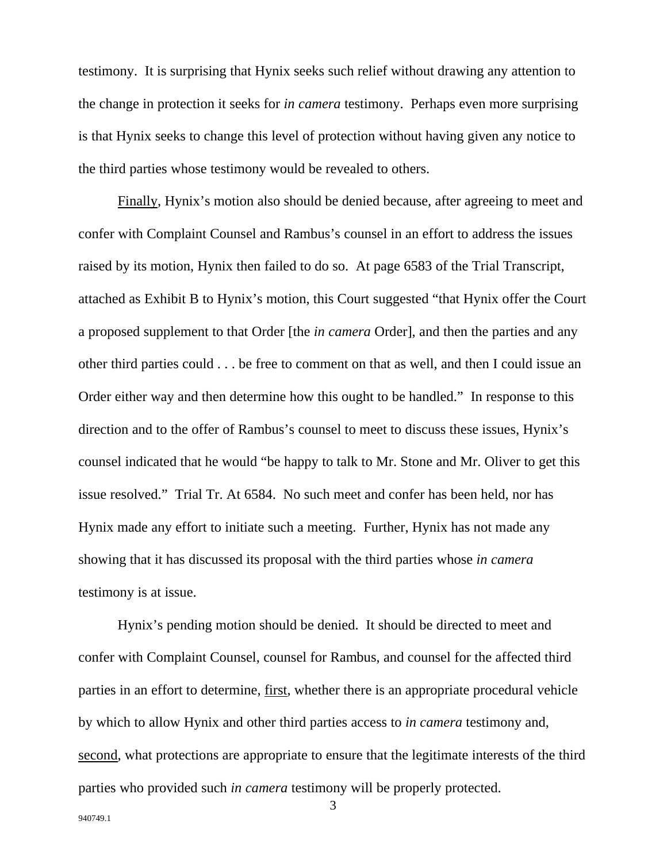testimony. It is surprising that Hynix seeks such relief without drawing any attention to the change in protection it seeks for *in camera* testimony. Perhaps even more surprising is that Hynix seeks to change this level of protection without having given any notice to the third parties whose testimony would be revealed to others.

Finally, Hynix's motion also should be denied because, after agreeing to meet and confer with Complaint Counsel and Rambus's counsel in an effort to address the issues raised by its motion, Hynix then failed to do so. At page 6583 of the Trial Transcript, attached as Exhibit B to Hynix's motion, this Court suggested "that Hynix offer the Court a proposed supplement to that Order [the *in camera* Order], and then the parties and any other third parties could . . . be free to comment on that as well, and then I could issue an Order either way and then determine how this ought to be handled." In response to this direction and to the offer of Rambus's counsel to meet to discuss these issues, Hynix's counsel indicated that he would "be happy to talk to Mr. Stone and Mr. Oliver to get this issue resolved." Trial Tr. At 6584. No such meet and confer has been held, nor has Hynix made any effort to initiate such a meeting. Further, Hynix has not made any showing that it has discussed its proposal with the third parties whose *in camera* testimony is at issue.

Hynix's pending motion should be denied. It should be directed to meet and confer with Complaint Counsel, counsel for Rambus, and counsel for the affected third parties in an effort to determine, first, whether there is an appropriate procedural vehicle by which to allow Hynix and other third parties access to *in camera* testimony and, second, what protections are appropriate to ensure that the legitimate interests of the third parties who provided such *in camera* testimony will be properly protected.

3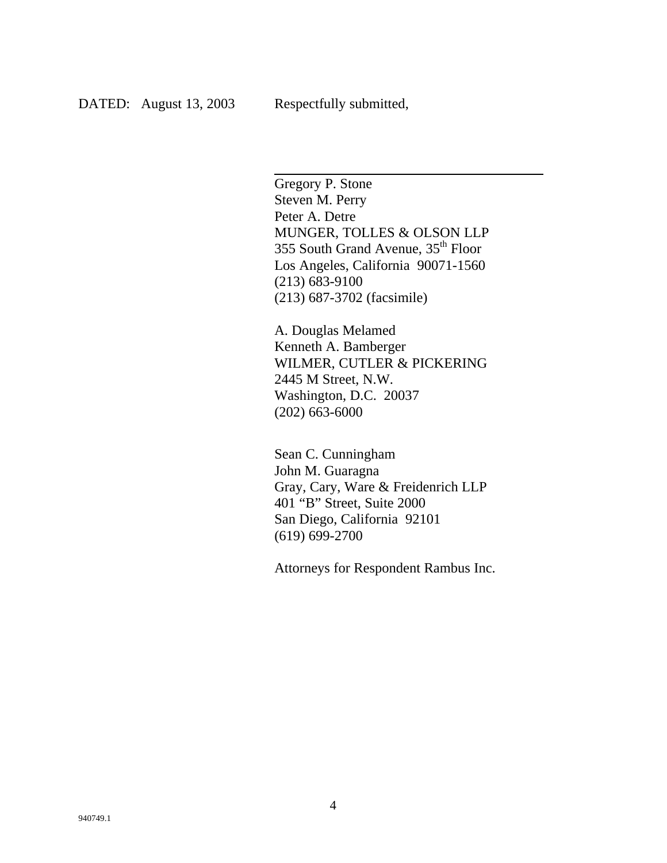$\overline{a}$ 

Gregory P. Stone Steven M. Perry Peter A. Detre MUNGER, TOLLES & OLSON LLP 355 South Grand Avenue, 35th Floor Los Angeles, California 90071-1560 (213) 683-9100 (213) 687-3702 (facsimile)

A. Douglas Melamed Kenneth A. Bamberger WILMER, CUTLER & PICKERING 2445 M Street, N.W. Washington, D.C. 20037 (202) 663-6000

Sean C. Cunningham John M. Guaragna Gray, Cary, Ware & Freidenrich LLP 401 "B" Street, Suite 2000 San Diego, California 92101 (619) 699-2700

Attorneys for Respondent Rambus Inc.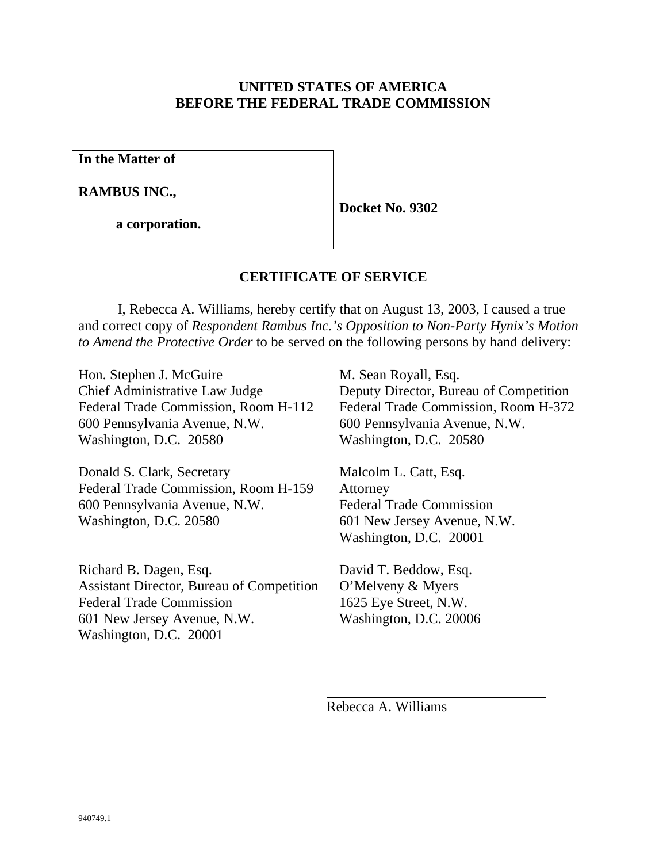### **UNITED STATES OF AMERICA BEFORE THE FEDERAL TRADE COMMISSION**

**In the Matter of**

**RAMBUS INC.,**

**a corporation.**

**Docket No. 9302**

## **CERTIFICATE OF SERVICE**

I, Rebecca A. Williams, hereby certify that on August 13, 2003, I caused a true and correct copy of *Respondent Rambus Inc.'s Opposition to Non-Party Hynix's Motion to Amend the Protective Order* to be served on the following persons by hand delivery:

Hon. Stephen J. McGuire Chief Administrative Law Judge Federal Trade Commission, Room H-112 600 Pennsylvania Avenue, N.W. Washington, D.C. 20580

Donald S. Clark, Secretary Federal Trade Commission, Room H-159 600 Pennsylvania Avenue, N.W. Washington, D.C. 20580

Richard B. Dagen, Esq. Assistant Director, Bureau of Competition Federal Trade Commission 601 New Jersey Avenue, N.W. Washington, D.C. 20001

M. Sean Royall, Esq. Deputy Director, Bureau of Competition Federal Trade Commission, Room H-372 600 Pennsylvania Avenue, N.W. Washington, D.C. 20580

Malcolm L. Catt, Esq. Attorney Federal Trade Commission 601 New Jersey Avenue, N.W. Washington, D.C. 20001

David T. Beddow, Esq. O'Melveny & Myers 1625 Eye Street, N.W. Washington, D.C. 20006

Rebecca A. Williams

 $\overline{a}$